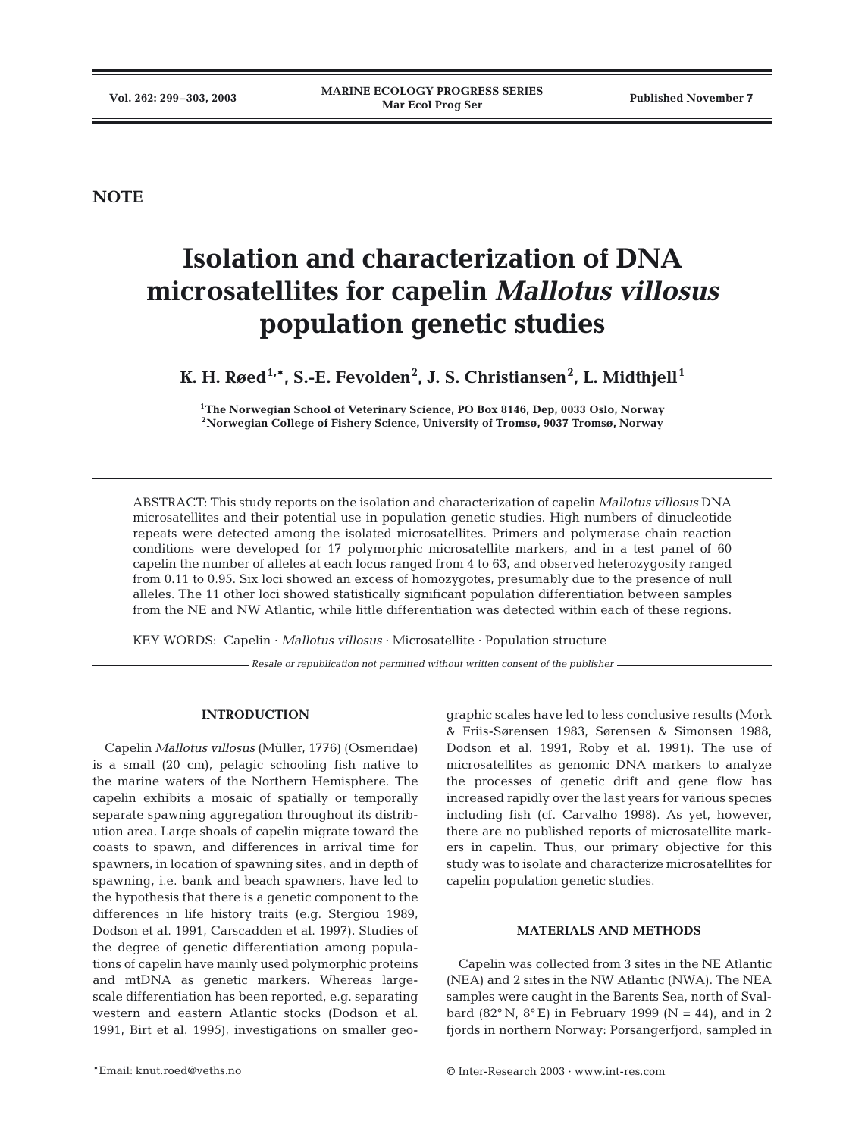**NOTE**

# **Isolation and characterization of DNA microsatellites for capelin** *Mallotus villosus* **population genetic studies**

 $\boldsymbol{\mathsf{K}}$ . H. Røed $^{1,*}$ , S.-E. Fevolden $^{2}$ , J. S. Christiansen $^{2}$ , L. Midthjell $^{1}$ 

**1The Norwegian School of Veterinary Science, PO Box 8146, Dep, 0033 Oslo, Norway 2Norwegian College of Fishery Science, University of Tromsø, 9037 Tromsø, Norway**

ABSTRACT: This study reports on the isolation and characterization of capelin *Mallotus villosus* DNA microsatellites and their potential use in population genetic studies. High numbers of dinucleotide repeats were detected among the isolated microsatellites. Primers and polymerase chain reaction conditions were developed for 17 polymorphic microsatellite markers, and in a test panel of 60 capelin the number of alleles at each locus ranged from 4 to 63, and observed heterozygosity ranged from 0.11 to 0.95. Six loci showed an excess of homozygotes, presumably due to the presence of null alleles. The 11 other loci showed statistically significant population differentiation between samples from the NE and NW Atlantic, while little differentiation was detected within each of these regions.

KEY WORDS: Capelin · *Mallotus villosus* · Microsatellite · Population structure

*Resale or republication not permitted without written consent of the publisher*

# **INTRODUCTION**

Capelin *Mallotus villosus* (Müller, 1776) (Osmeridae) is a small (20 cm), pelagic schooling fish native to the marine waters of the Northern Hemisphere. The capelin exhibits a mosaic of spatially or temporally separate spawning aggregation throughout its distribution area. Large shoals of capelin migrate toward the coasts to spawn, and differences in arrival time for spawners, in location of spawning sites, and in depth of spawning, i.e. bank and beach spawners, have led to the hypothesis that there is a genetic component to the differences in life history traits (e.g. Stergiou 1989, Dodson et al. 1991, Carscadden et al. 1997). Studies of the degree of genetic differentiation among populations of capelin have mainly used polymorphic proteins and mtDNA as genetic markers. Whereas largescale differentiation has been reported, e.g. separating western and eastern Atlantic stocks (Dodson et al. 1991, Birt et al. 1995), investigations on smaller geo-

graphic scales have led to less conclusive results (Mork & Friis-Sørensen 1983, Sørensen & Simonsen 1988, Dodson et al. 1991, Roby et al. 1991). The use of microsatellites as genomic DNA markers to analyze the processes of genetic drift and gene flow has increased rapidly over the last years for various species including fish (cf. Carvalho 1998). As yet, however, there are no published reports of microsatellite markers in capelin. Thus, our primary objective for this study was to isolate and characterize microsatellites for capelin population genetic studies.

## **MATERIALS AND METHODS**

Capelin was collected from 3 sites in the NE Atlantic (NEA) and 2 sites in the NW Atlantic (NWA). The NEA samples were caught in the Barents Sea, north of Svalbard (82 $\textdegree$  N, 8 $\textdegree$  E) in February 1999 (N = 44), and in 2 fjords in northern Norway: Porsangerfjord, sampled in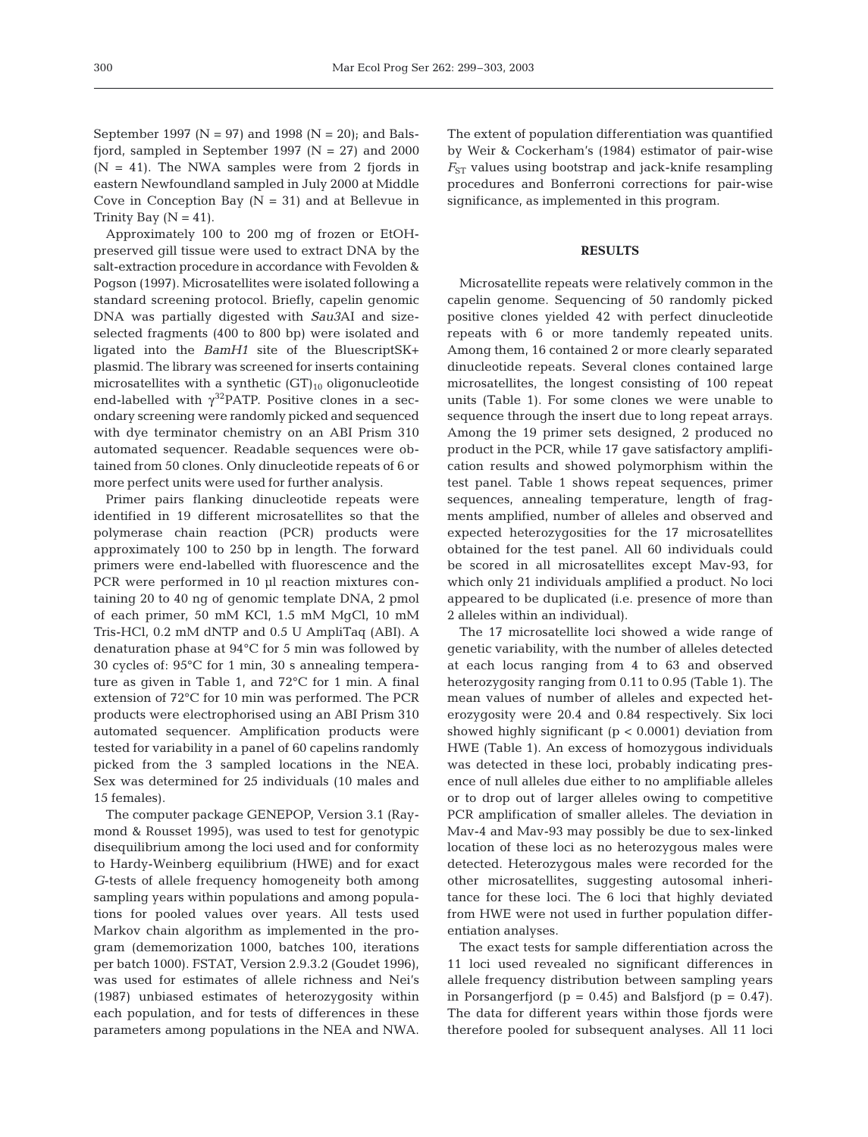September 1997 ( $N = 97$ ) and 1998 ( $N = 20$ ); and Balsfjord, sampled in September 1997 ( $N = 27$ ) and 2000  $(N = 41)$ . The NWA samples were from 2 fjords in eastern Newfoundland sampled in July 2000 at Middle Cove in Conception Bay  $(N = 31)$  and at Bellevue in Trinity Bay  $(N = 41)$ .

Approximately 100 to 200 mg of frozen or EtOHpreserved gill tissue were used to extract DNA by the salt-extraction procedure in accordance with Fevolden & Pogson (1997). Microsatellites were isolated following a standard screening protocol. Briefly, capelin genomic DNA was partially digested with *Sau3*AI and sizeselected fragments (400 to 800 bp) were isolated and ligated into the *BamH1* site of the BluescriptSK+ plasmid. The library was screened for inserts containing microsatellites with a synthetic  $(GT)_{10}$  oligonucleotide end-labelled with  $\gamma^{32}$ PATP. Positive clones in a secondary screening were randomly picked and sequenced with dye terminator chemistry on an ABI Prism 310 automated sequencer. Readable sequences were obtained from 50 clones. Only dinucleotide repeats of 6 or more perfect units were used for further analysis.

Primer pairs flanking dinucleotide repeats were identified in 19 different microsatellites so that the polymerase chain reaction (PCR) products were approximately 100 to 250 bp in length. The forward primers were end-labelled with fluorescence and the PCR were performed in 10 µl reaction mixtures containing 20 to 40 ng of genomic template DNA, 2 pmol of each primer, 50 mM KCl, 1.5 mM MgCl, 10 mM Tris-HCl, 0.2 mM dNTP and 0.5 U AmpliTaq (ABI). A denaturation phase at 94°C for 5 min was followed by 30 cycles of: 95°C for 1 min, 30 s annealing temperature as given in Table 1, and 72°C for 1 min. A final extension of 72°C for 10 min was performed. The PCR products were electrophorised using an ABI Prism 310 automated sequencer. Amplification products were tested for variability in a panel of 60 capelins randomly picked from the 3 sampled locations in the NEA. Sex was determined for 25 individuals (10 males and 15 females).

The computer package GENEPOP, Version 3.1 (Raymond & Rousset 1995), was used to test for genotypic disequilibrium among the loci used and for conformity to Hardy-Weinberg equilibrium (HWE) and for exact *G*-tests of allele frequency homogeneity both among sampling years within populations and among populations for pooled values over years. All tests used Markov chain algorithm as implemented in the program (dememorization 1000, batches 100, iterations per batch 1000). FSTAT, Version 2.9.3.2 (Goudet 1996), was used for estimates of allele richness and Nei's (1987) unbiased estimates of heterozygosity within each population, and for tests of differences in these parameters among populations in the NEA and NWA. The extent of population differentiation was quantified by Weir & Cockerham's (1984) estimator of pair-wise  $F_{ST}$  values using bootstrap and jack-knife resampling procedures and Bonferroni corrections for pair-wise significance, as implemented in this program.

## **RESULTS**

Microsatellite repeats were relatively common in the capelin genome. Sequencing of 50 randomly picked positive clones yielded 42 with perfect dinucleotide repeats with 6 or more tandemly repeated units. Among them, 16 contained 2 or more clearly separated dinucleotide repeats. Several clones contained large microsatellites, the longest consisting of 100 repeat units (Table 1). For some clones we were unable to sequence through the insert due to long repeat arrays. Among the 19 primer sets designed, 2 produced no product in the PCR, while 17 gave satisfactory amplification results and showed polymorphism within the test panel. Table 1 shows repeat sequences, primer sequences, annealing temperature, length of fragments amplified, number of alleles and observed and expected heterozygosities for the 17 microsatellites obtained for the test panel. All 60 individuals could be scored in all microsatellites except Mav-93, for which only 21 individuals amplified a product. No loci appeared to be duplicated (i.e. presence of more than 2 alleles within an individual).

The 17 microsatellite loci showed a wide range of genetic variability, with the number of alleles detected at each locus ranging from 4 to 63 and observed heterozygosity ranging from 0.11 to 0.95 (Table 1). The mean values of number of alleles and expected heterozygosity were 20.4 and 0.84 respectively. Six loci showed highly significant ( $p < 0.0001$ ) deviation from HWE (Table 1). An excess of homozygous individuals was detected in these loci, probably indicating presence of null alleles due either to no amplifiable alleles or to drop out of larger alleles owing to competitive PCR amplification of smaller alleles. The deviation in Mav-4 and Mav-93 may possibly be due to sex-linked location of these loci as no heterozygous males were detected. Heterozygous males were recorded for the other microsatellites, suggesting autosomal inheritance for these loci. The 6 loci that highly deviated from HWE were not used in further population differentiation analyses.

The exact tests for sample differentiation across the 11 loci used revealed no significant differences in allele frequency distribution between sampling years in Porsangerfjord ( $p = 0.45$ ) and Balsfjord ( $p = 0.47$ ). The data for different years within those fjords were therefore pooled for subsequent analyses. All 11 loci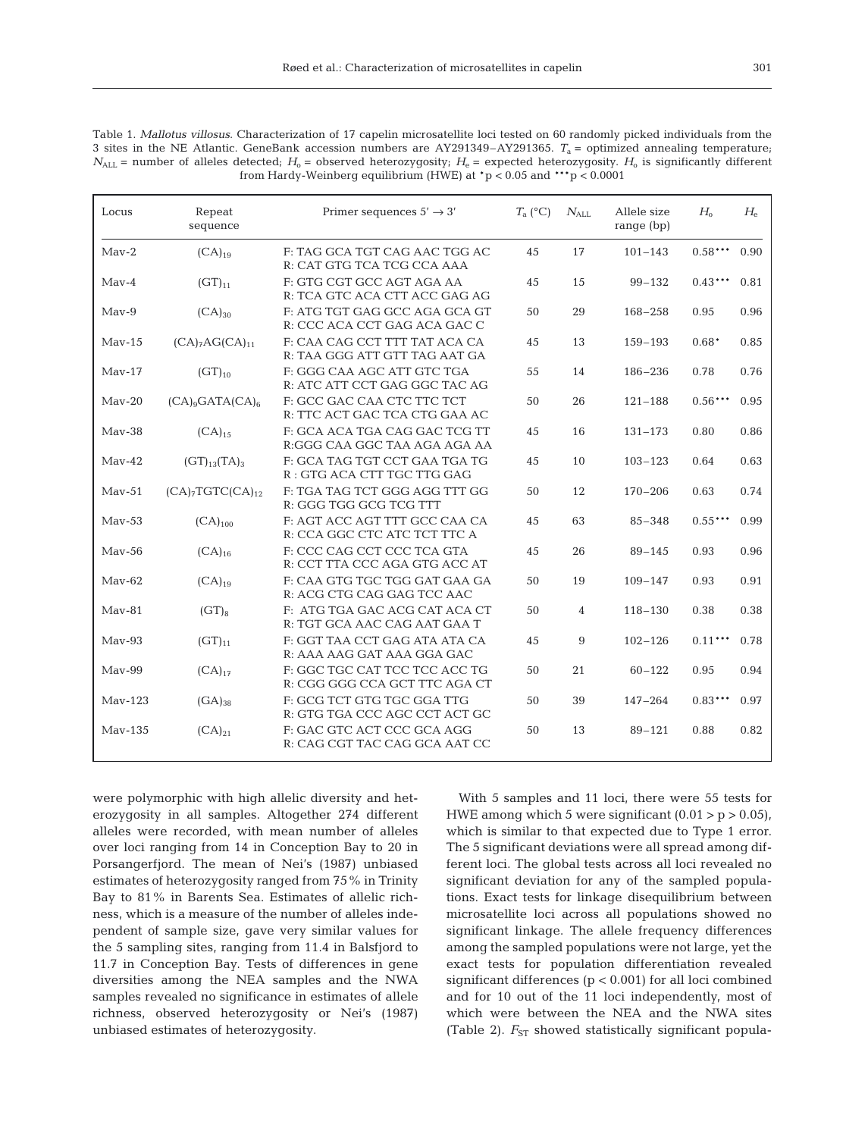Table 1. *Mallotus villosus*. Characterization of 17 capelin microsatellite loci tested on 60 randomly picked individuals from the 3 sites in the NE Atlantic. GeneBank accession numbers are AY291349–AY291365. *T*a = optimized annealing temperature;  $N_{\text{ALL}}$  = number of alleles detected;  $H_0$  = observed heterozygosity;  $H_0$  = expected heterozygosity.  $H_0$  is significantly different from Hardy-Weinberg equilibrium (HWE) at  $p < 0.05$  and  $***p < 0.0001$ 

| Locus     | Repeat<br>sequence                       | Primer sequences $5' \rightarrow 3'$<br>$T_a$ (°C)             |    | $N_{\rm ALL}$ | Allele size<br>range $(bp)$ | $H_{\alpha}$ | $H_{\scriptscriptstyle{\Theta}}$ |
|-----------|------------------------------------------|----------------------------------------------------------------|----|---------------|-----------------------------|--------------|----------------------------------|
| $Mav-2$   | $(CA)_{19}$                              | F: TAG GCA TGT CAG AAC TGG AC<br>R: CAT GTG TCA TCG CCA AAA    | 45 | 17            | $101 - 143$                 | $0.58***$    | 0.90                             |
| $Mav-4$   | $(GT)_{11}$                              | F: GTG CGT GCC AGT AGA AA<br>R: TCA GTC ACA CTT ACC GAG AG     | 45 | 15            | $99 - 132$                  | $0.43***$    | 0.81                             |
| $Mav-9$   | $(CA)_{30}$                              | F: ATG TGT GAG GCC AGA GCA GT<br>R: CCC ACA CCT GAG ACA GAC C  | 50 | 29            | $168 - 258$                 | 0.95         | 0.96                             |
| $Mav-15$  | (CA) <sub>7</sub> AG(CA) <sub>11</sub>   | F: CAA CAG CCT TTT TAT ACA CA<br>R: TAA GGG ATT GTT TAG AAT GA | 45 | 13            | $159 - 193$                 | $0.68*$      | 0.85                             |
| $Mav-17$  | $(GT)_{10}$                              | F: GGG CAA AGC ATT GTC TGA<br>R: ATC ATT CCT GAG GGC TAC AG    | 55 | 14            | 186-236                     | 0.78         | 0.76                             |
| $Mav-20$  | (CA) <sub>9</sub> GATA(CA) <sub>6</sub>  | F: GCC GAC CAA CTC TTC TCT<br>R: TTC ACT GAC TCA CTG GAA AC    | 50 | 26            | $121 - 188$                 | $0.56***$    | 0.95                             |
| $Mav-38$  | $(CA)_{15}$                              | F: GCA ACA TGA CAG GAC TCG TT<br>R:GGG CAA GGC TAA AGA AGA AA  | 45 | 16            | $131 - 173$                 | 0.80         | 0.86                             |
| $Mav-42$  | $(GT)_{13}(TA)_{3}$                      | F: GCA TAG TGT CCT GAA TGA TG<br>R: GTG ACA CTT TGC TTG GAG    | 45 | 10            | $103 - 123$                 | 0.64         | 0.63                             |
| $Mav-51$  | (CA) <sub>7</sub> TGTC(CA) <sub>12</sub> | F: TGA TAG TCT GGG AGG TTT GG<br>R: GGG TGG GCG TCG TTT        | 50 | 12            | 170-206                     | 0.63         | 0.74                             |
| $Mav-53$  | $(CA)_{100}$                             | F: AGT ACC AGT TTT GCC CAA CA<br>R: CCA GGC CTC ATC TCT TTC A  | 45 | 63            | $85 - 348$                  | $0.55***$    | 0.99                             |
| $Mav-56$  | $(CA)_{16}$                              | F: CCC CAG CCT CCC TCA GTA<br>R: CCT TTA CCC AGA GTG ACC AT    | 45 | 26            | $89 - 145$                  | 0.93         | 0.96                             |
| $Mav-62$  | $(CA)_{19}$                              | F: CAA GTG TGC TGG GAT GAA GA<br>R: ACG CTG CAG GAG TCC AAC    | 50 | 19            | $109 - 147$                 | 0.93         | 0.91                             |
| $Mav-81$  | $(GT)_{8}$                               | F: ATG TGA GAC ACG CAT ACA CT<br>R: TGT GCA AAC CAG AAT GAA T  | 50 | 4             | 118-130                     | 0.38         | 0.38                             |
| $Mav-93$  | $(GT)_{11}$                              | F: GGT TAA CCT GAG ATA ATA CA<br>R: AAA AAG GAT AAA GGA GAC    | 45 | 9             | $102 - 126$                 | $0.11***$    | 0.78                             |
| $Mav-99$  | $(CA)_{17}$                              | F: GGC TGC CAT TCC TCC ACC TG<br>R: CGG GGG CCA GCT TTC AGA CT | 50 | 21            | $60 - 122$                  | 0.95         | 0.94                             |
| $Mav-123$ | $(GA)_{38}$                              | F: GCG TCT GTG TGC GGA TTG<br>R: GTG TGA CCC AGC CCT ACT GC    | 50 | 39            | $147 - 264$                 | $0.83***$    | 0.97                             |
| May-135   | $(CA)_{21}$                              | F: GAC GTC ACT CCC GCA AGG<br>R: CAG CGT TAC CAG GCA AAT CC    | 50 | 13            | $89 - 121$                  | 0.88         | 0.82                             |

were polymorphic with high allelic diversity and heterozygosity in all samples. Altogether 274 different alleles were recorded, with mean number of alleles over loci ranging from 14 in Conception Bay to 20 in Porsangerfjord. The mean of Nei's (1987) unbiased estimates of heterozygosity ranged from 75% in Trinity Bay to 81% in Barents Sea. Estimates of allelic richness, which is a measure of the number of alleles independent of sample size, gave very similar values for the 5 sampling sites, ranging from 11.4 in Balsfjord to 11.7 in Conception Bay. Tests of differences in gene diversities among the NEA samples and the NWA samples revealed no significance in estimates of allele richness, observed heterozygosity or Nei's (1987) unbiased estimates of heterozygosity.

With 5 samples and 11 loci, there were 55 tests for HWE among which 5 were significant  $(0.01 > p > 0.05)$ , which is similar to that expected due to Type 1 error. The 5 significant deviations were all spread among different loci. The global tests across all loci revealed no significant deviation for any of the sampled populations. Exact tests for linkage disequilibrium between microsatellite loci across all populations showed no significant linkage. The allele frequency differences among the sampled populations were not large, yet the exact tests for population differentiation revealed significant differences ( $p < 0.001$ ) for all loci combined and for 10 out of the 11 loci independently, most of which were between the NEA and the NWA sites (Table 2).  $F_{ST}$  showed statistically significant popula-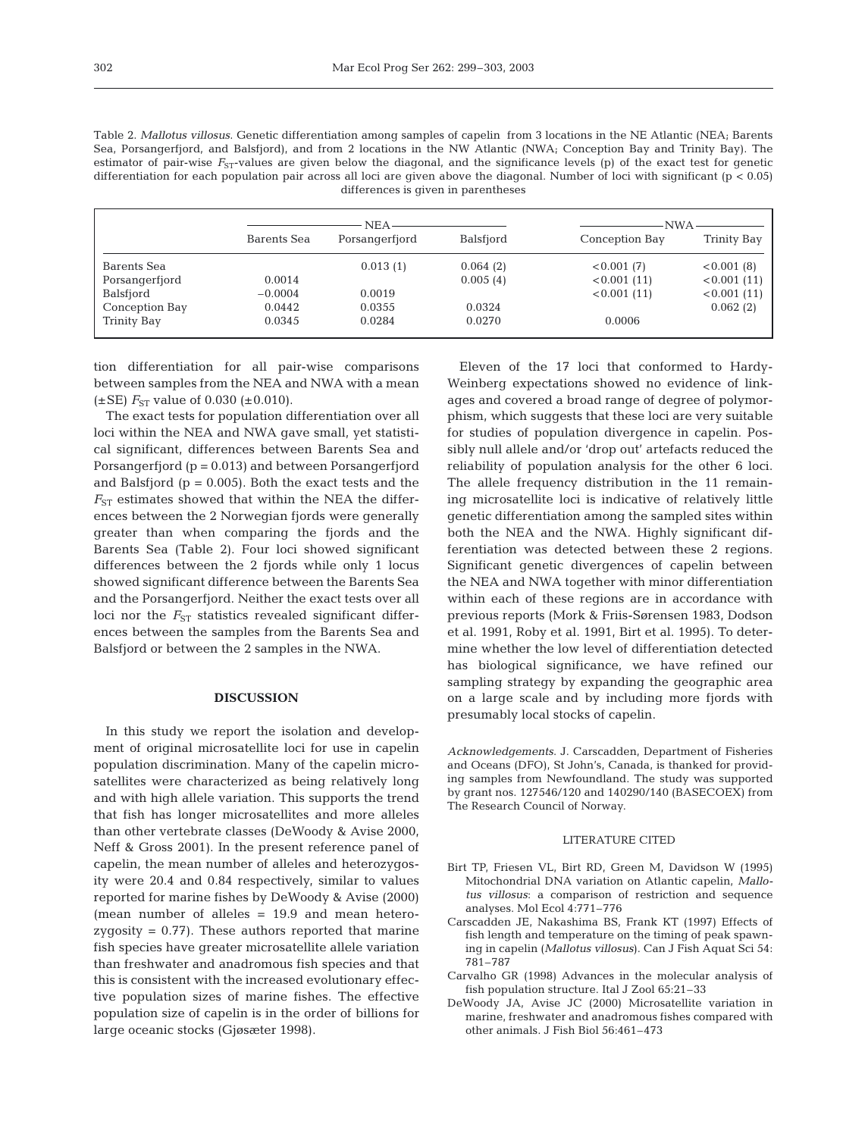| Table 2. Mallotus villosus. Genetic differentiation among samples of capelin from 3 locations in the NE Atlantic (NEA; Barents        |
|---------------------------------------------------------------------------------------------------------------------------------------|
| Sea, Porsangerfjord, and Balsfjord), and from 2 locations in the NW Atlantic (NWA; Conception Bay and Trinity Bay). The               |
| estimator of pair-wise $F_{ST}$ -values are given below the diagonal, and the significance levels (p) of the exact test for genetic   |
| differentiation for each population pair across all loci are given above the diagonal. Number of loci with significant ( $p < 0.05$ ) |
| differences is given in parentheses                                                                                                   |

|                | NEA-        |                |           | ·NWA           |             |  |
|----------------|-------------|----------------|-----------|----------------|-------------|--|
|                | Barents Sea | Porsangerfjord | Balsfjord | Conception Bay | Trinity Bay |  |
| Barents Sea    |             | 0.013(1)       | 0.064(2)  | < 0.001(7)     | < 0.001(8)  |  |
| Porsangerfjord | 0.0014      |                | 0.005(4)  | < 0.001(11)    | < 0.001(11) |  |
| Balsfjord      | $-0.0004$   | 0.0019         |           | < 0.001(11)    | < 0.001(11) |  |
| Conception Bay | 0.0442      | 0.0355         | 0.0324    |                | 0.062(2)    |  |
| Trinity Bay    | 0.0345      | 0.0284         | 0.0270    | 0.0006         |             |  |

tion differentiation for all pair-wise comparisons between samples from the NEA and NWA with a mean  $(\pm \text{SE})$  *F*<sub>ST</sub> value of 0.030 ( $\pm$ 0.010).

The exact tests for population differentiation over all loci within the NEA and NWA gave small, yet statistical significant, differences between Barents Sea and Porsangerfjord (p = 0.013) and between Porsangerfjord and Balsfjord  $(p = 0.005)$ . Both the exact tests and the  $F_{ST}$  estimates showed that within the NEA the differences between the 2 Norwegian fjords were generally greater than when comparing the fjords and the Barents Sea (Table 2). Four loci showed significant differences between the 2 fjords while only 1 locus showed significant difference between the Barents Sea and the Porsangerfjord. Neither the exact tests over all loci nor the  $F_{ST}$  statistics revealed significant differences between the samples from the Barents Sea and Balsfjord or between the 2 samples in the NWA.

#### **DISCUSSION**

In this study we report the isolation and development of original microsatellite loci for use in capelin population discrimination. Many of the capelin microsatellites were characterized as being relatively long and with high allele variation. This supports the trend that fish has longer microsatellites and more alleles than other vertebrate classes (DeWoody & Avise 2000, Neff & Gross 2001). In the present reference panel of capelin, the mean number of alleles and heterozygosity were 20.4 and 0.84 respectively, similar to values reported for marine fishes by DeWoody & Avise (2000) (mean number of alleles = 19.9 and mean heterozygosity  $= 0.77$ ). These authors reported that marine fish species have greater microsatellite allele variation than freshwater and anadromous fish species and that this is consistent with the increased evolutionary effective population sizes of marine fishes. The effective population size of capelin is in the order of billions for large oceanic stocks (Gjøsæter 1998).

Eleven of the 17 loci that conformed to Hardy-Weinberg expectations showed no evidence of linkages and covered a broad range of degree of polymorphism, which suggests that these loci are very suitable for studies of population divergence in capelin. Possibly null allele and/or 'drop out' artefacts reduced the reliability of population analysis for the other 6 loci. The allele frequency distribution in the 11 remaining microsatellite loci is indicative of relatively little genetic differentiation among the sampled sites within both the NEA and the NWA. Highly significant differentiation was detected between these 2 regions. Significant genetic divergences of capelin between the NEA and NWA together with minor differentiation within each of these regions are in accordance with previous reports (Mork & Friis-Sørensen 1983, Dodson et al. 1991, Roby et al. 1991, Birt et al. 1995). To determine whether the low level of differentiation detected has biological significance, we have refined our sampling strategy by expanding the geographic area on a large scale and by including more fjords with presumably local stocks of capelin.

*Acknowledgements*. J. Carscadden, Department of Fisheries and Oceans (DFO), St John's, Canada, is thanked for providing samples from Newfoundland. The study was supported by grant nos. 127546/120 and 140290/140 (BASECOEX) from The Research Council of Norway.

### LITERATURE CITED

- Birt TP, Friesen VL, Birt RD, Green M, Davidson W (1995) Mitochondrial DNA variation on Atlantic capelin, *Mallotus villosus*: a comparison of restriction and sequence analyses. Mol Ecol 4:771–776
- Carscadden JE, Nakashima BS, Frank KT (1997) Effects of fish length and temperature on the timing of peak spawning in capelin (*Mallotus villosus*). Can J Fish Aquat Sci 54: 781–787
- Carvalho GR (1998) Advances in the molecular analysis of fish population structure. Ital J Zool 65:21–33
- DeWoody JA, Avise JC (2000) Microsatellite variation in marine, freshwater and anadromous fishes compared with other animals. J Fish Biol 56:461–473